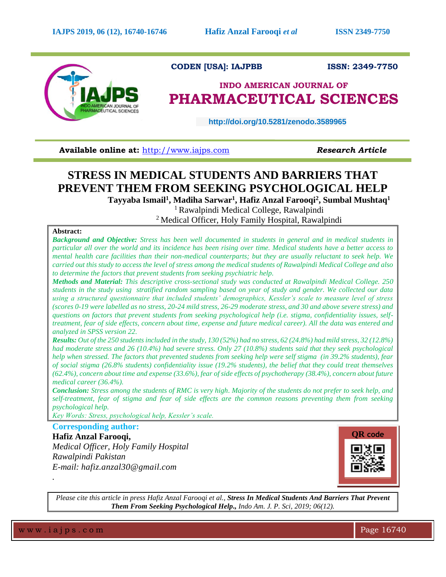

# **CODEN [USA]: IAJPBB ISSN: 2349-7750**

# **INDO AMERICAN JOURNAL OF PHARMACEUTICAL SCIENCES**

 **http://doi.org/10.5281/zenodo.3589965** 

**Available online at:** [http://www.iajps.com](http://www.iajps.com/) **Research Article** 

# **STRESS IN MEDICAL STUDENTS AND BARRIERS THAT PREVENT THEM FROM SEEKING PSYCHOLOGICAL HELP**

**Tayyaba Ismail<sup>1</sup> , Madiha Sarwar<sup>1</sup> , Hafiz Anzal Farooqi<sup>2</sup> , Sumbal Mushtaq<sup>1</sup>**

<sup>1</sup>Rawalpindi Medical College, Rawalpindi <sup>2</sup> Medical Officer, Holy Family Hospital, Rawalpindi

# **Abstract:**

*Background and Objective: Stress has been well documented in students in general and in medical students in particular all over the world and its incidence has been rising over time. Medical students have a better access to mental health care facilities than their non-medical counterparts; but they are usually reluctant to seek help. We carried out this study to access the level of stress among the medical students of Rawalpindi Medical College and also to determine the factors that prevent students from seeking psychiatric help.*

*Methods and Material: This descriptive cross-sectional study was conducted at Rawalpindi Medical College. 250 students in the study using stratified random sampling based on year of study and gender. We collected our data using a structured questionnaire that included students' demographics, Kessler's scale to measure level of stress (scores 0-19 were labelled as no stress, 20-24 mild stress, 26-29 moderate stress, and 30 and above severe stress) and questions on factors that prevent students from seeking psychological help (i.e. stigma, confidentiality issues, selftreatment, fear of side effects, concern about time, expense and future medical career). All the data was entered and analyzed in SPSS version 22.*

*Results: Out of the 250 students included in the study, 130 (52%) had no stress, 62 (24.8%) had mild stress, 32 (12.8%) had moderate stress and 26 (10.4%) had severe stress. Only 27 (10.8%) students said that they seek psychological help when stressed. The factors that prevented students from seeking help were self stigma (in 39.2% students), fear of social stigma (26.8% students) confidentiality issue (19.2% students), the belief that they could treat themselves (62.4%), concern about time and expense (33.6%), fear of side effects of psychotherapy (38.4%), concern about future medical career (36.4%).*

*Conclusion: Stress among the students of RMC is very high. Majority of the students do not prefer to seek help, and self-treatment, fear of stigma and fear of side effects are the common reasons preventing them from seeking psychological help.*

*Key Words: Stress, psychological help, Kessler's scale.*

**Corresponding author: Hafiz Anzal Farooqi,** *Medical Officer, Holy Family Hospital Rawalpindi Pakistan E-mail: hafiz.anzal30@gmail.com*



*Please cite this article in press Hafiz Anzal Farooqi et al., Stress In Medical Students And Barriers That Prevent Them From Seeking Psychological Help., Indo Am. J. P. Sci, 2019; 06(12).*

w w w . i a j p s . c o m Page 16740

*.*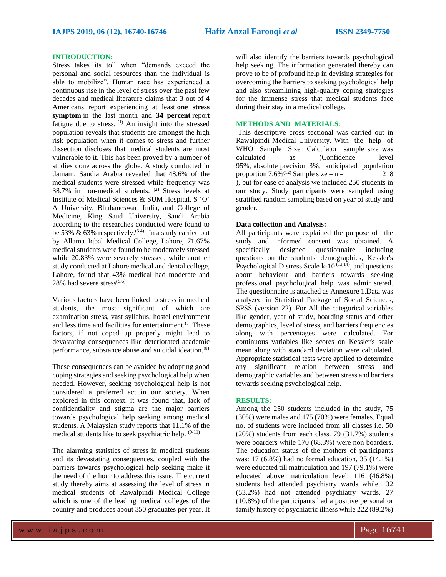### **INTRODUCTION:**

Stress takes its toll when "demands exceed the personal and social resources than the individual is able to mobilize". Human race has experienced a continuous rise in the level of stress over the past few decades and medical literature claims that 3 out of 4 Americans report experiencing at least **one stress symptom** in the last month and **34 percent** report fatigue due to stress. (1) An insight into the stressed population reveals that students are amongst the high risk population when it comes to stress and further dissection discloses that medical students are most vulnerable to it. This has been proved by a number of studies done across the globe. A study conducted in damam, Saudia Arabia revealed that 48.6% of the medical students were stressed while frequency was 38.7% in non-medical students. (2) Stress levels at Institute of Medical Sciences & SUM Hospital, S 'O' A University, Bhubaneswar, India, and College of Medicine, King Saud University, Saudi Arabia according to the researches conducted were found to be 53%  $\&$  63% respectively.<sup>(3,4)</sup>. In a study carried out by Allama Iqbal Medical College, Lahore, 71.67% medical students were found to be moderately stressed while 20.83% were severely stressed, while another study conducted at Lahore medical and dental college, Lahore, found that 43% medical had moderate and 28% had severe stress $(5,6)$ .

Various factors have been linked to stress in medical students, the most significant of which are examination stress, vast syllabus, hostel environment and less time and facilities for entertainment. $(7)$  These factors, if not coped up properly might lead to devastating consequences like deteriorated academic performance, substance abuse and suicidal ideation.(8)

These consequences can be avoided by adopting good coping strategies and seeking psychological help when needed. However, seeking psychological help is not considered a preferred act in our society. When explored in this context, it was found that, lack of confidentiality and stigma are the major barriers towards psychological help seeking among medical students. A Malaysian study reports that 11.1% of the medical students like to seek psychiatric help. (9-11)

The alarming statistics of stress in medical students and its devastating consequences, coupled with the barriers towards psychological help seeking make it the need of the hour to address this issue. The current study thereby aims at assessing the level of stress in medical students of Rawalpindi Medical College which is one of the leading medical colleges of the country and produces about 350 graduates per year. It will also identify the barriers towards psychological help seeking. The information generated thereby can prove to be of profound help in devising strategies for overcoming the barriers to seeking psychological help and also streamlining high-quality coping strategies for the immense stress that medical students face during their stay in a medical college.

# **METHODS AND MATERIALS**:

This descriptive cross sectional was carried out in Rawalpindi Medical University. With the help of WHO Sample Size Calculator sample size was calculated as (Confidence level 95%, absolute precision 3%, anticipated population proportion 7.6%<sup>(12)</sup> Sample size =  $n =$  218 ), but for ease of analysis we included 250 students in our study. Study participants were sampled using stratified random sampling based on year of study and gender.

#### **Data collection and Analysis:**

All participants were explained the purpose of the study and informed consent was obtained. A specifically designed questionnaire including questions on the students' demographics, Kessler's Psychological Distress Scale k-10 $^{(13,14)}$ , and questions about behaviour and barriers towards seeking professional psychological help was administered. The questionnaire is attached as Annexure 1.Data was analyzed in Statistical Package of Social Sciences, SPSS (version 22). For All the categorical variables like gender, year of study, boarding status and other demographics, level of stress, and barriers frequencies along with percentages were calculated. For continuous variables like scores on Kessler's scale mean along with standard deviation were calculated. Appropriate statistical tests were applied to determine any significant relation between stress and demographic variables and between stress and barriers towards seeking psychological help.

#### **RESULTS:**

Among the 250 students included in the study, 75 (30%) were males and 175 (70%) were females. Equal no. of students were included from all classes i.e. 50 (20%) students from each class. 79 (31.7%) students were boarders while 170 (68.3%) were non boarders. The education status of the mothers of participants was: 17 (6.8%) had no formal education, 35 (14.1%) were educated till matriculation and 197 (79.1%) were educated above matriculation level. 116 (46.8%) students had attended psychiatry wards while 132 (53.2%) had not attended psychiatry wards. 27 (10.8%) of the participants had a positive personal or family history of psychiatric illness while 222 (89.2%)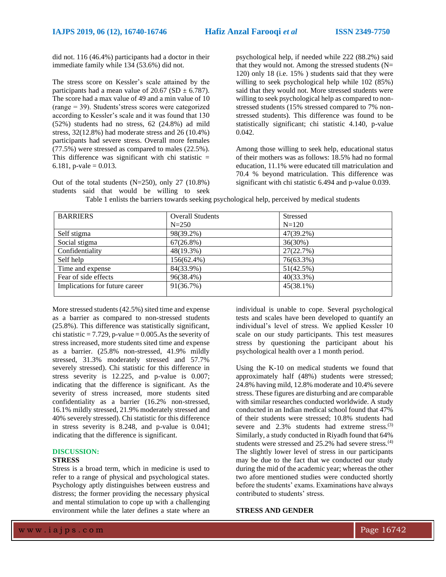did not. 116 (46.4%) participants had a doctor in their immediate family while 134 (53.6%) did not.

The stress score on Kessler's scale attained by the participants had a mean value of  $20.67$  (SD  $\pm$  6.787). The score had a max value of 49 and a min value of 10 (range = 39). Students'stress scores were categorized according to Kessler's scale and it was found that 130 (52%) students had no stress, 62 (24.8%) ad mild stress, 32(12.8%) had moderate stress and 26 (10.4%) participants had severe stress. Overall more females (77.5%) were stressed as compared to males (22.5%). This difference was significant with chi statistic  $=$ 6.181, p-vale =  $0.013$ .

Out of the total students  $(N=250)$ , only 27  $(10.8\%)$ students said that would be willing to seek

psychological help, if needed while 222 (88.2%) said that they would not. Among the stressed students  $(N=$ 120) only 18 (i.e. 15% ) students said that they were willing to seek psychological help while 102 (85%) said that they would not. More stressed students were willing to seek psychological help as compared to nonstressed students (15% stressed compared to 7% nonstressed students). This difference was found to be statistically significant; chi statistic 4.140, p-value 0.042.

Among those willing to seek help, educational status of their mothers was as follows: 18.5% had no formal education, 11.1% were educated till matriculation and 70.4 % beyond matriculation. This difference was significant with chi statistic 6.494 and p-value 0.039.

| <b>BARRIERS</b>                | <b>Overall Students</b> | <b>Stressed</b> |
|--------------------------------|-------------------------|-----------------|
|                                | $N = 250$               | $N = 120$       |
| Self stigma                    | 98(39.2%)               | 47(39.2%)       |
| Social stigma                  | $67(26.8\%)$            | 36(30%)         |
| Confidentiality                | 48(19.3%)               | 27(22.7%)       |
| Self help                      | 156(62.4%)              | 76(63.3%)       |
| Time and expense               | 84(33.9%)               | 51(42.5%)       |
| Fear of side effects           | 96(38.4%)               | $40(33.3\%)$    |
| Implications for future career | 91(36.7%)               | $45(38.1\%)$    |

Table 1 enlists the barriers towards seeking psychological help, perceived by medical students

More stressed students (42.5%) sited time and expense as a barrier as compared to non-stressed students (25.8%). This difference was statistically significant, chi statistic  $= 7.729$ , p-value  $= 0.005$ . As the severity of stress increased, more students sited time and expense as a barrier. (25.8% non-stressed, 41.9% mildly stressed, 31.3% moderately stressed and 57.7% severely stressed). Chi statistic for this difference in stress severity is 12.225, and p-value is 0.007; indicating that the difference is significant. As the severity of stress increased, more students sited confidentiality as a barrier (16.2% non-stressed, 16.1% mildly stressed, 21.9% moderately stressed and 40% severely stressed). Chi statistic for this difference in stress severity is 8.248, and p-value is 0.041; indicating that the difference is significant.

#### **DISCUSSION:**

# **STRESS**

Stress is a broad term, which in medicine is used to refer to a range of physical and psychological states. Psychology aptly distinguishes between eustress and distress; the former providing the necessary physical and mental stimulation to cope up with a challenging environment while the later defines a state where an individual is unable to cope. Several psychological tests and scales have been developed to quantify an individual's level of stress. We applied Kessler 10 scale on our study participants. This test measures stress by questioning the participant about his psychological health over a 1 month period.

Using the K-10 on medical students we found that approximately half (48%) students were stressed; 24.8% having mild, 12.8% moderate and 10.4% severe stress. These figures are disturbing and are comparable with similar researches conducted worldwide. A study conducted in an Indian medical school found that 47% of their students were stressed; 10.8% students had severe and 2.3% students had extreme stress.<sup>(3)</sup> Similarly, a study conducted in Riyadh found that 64% students were stressed and 25.2% had severe stress.<sup>(4)</sup> The slightly lower level of stress in our participants may be due to the fact that we conducted our study during the mid of the academic year; whereas the other two afore mentioned studies were conducted shortly before the students' exams. Examinations have always contributed to students' stress.

# **STRESS AND GENDER**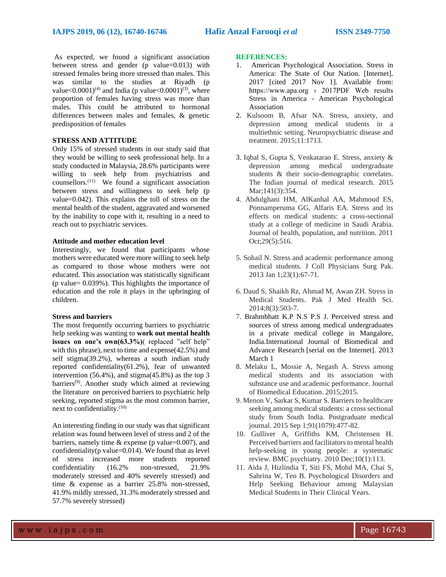As expected, we found a significant association between stress and gender (p value=0.013) with stressed females being more stressed than males. This was similar to the studies at Riyadh (p value<0.0001)<sup>(4)</sup> and India (p value<0.0001)<sup>(3)</sup>, where proportion of females having stress was more than males. This could be attributed to hormonal differences between males and females, & genetic predisposition of females

# **STRESS AND ATTITUDE**

Only 15% of stressed students in our study said that they would be willing to seek professional help. In a study conducted in Malaysia, 28.6% participants were willing to seek help from psychiatrists and counsellors. $(11)$  We found a significant association between stress and willingness to seek help (p value=0.042). This explains the toll of stress on the mental health of the student, aggravated and worsened by the inability to cope with it, resulting in a need to reach out to psychiatric services.

### **Attitude and mother education level**

Interestingly, we found that participants whose mothers were educated were more willing to seek help as compared to those whose mothers were not educated. This association was statistically significant (p value= 0.039%). This highlights the importance of education and the role it plays in the upbringing of children.

#### **Stress and barriers**

The most frequently occurring barriers to psychiatric help seeking was wanting to **work out mental health issues on one's own(63.3%)**( replaced "self help" with this phrase), next to time and expense(42.5%) and self stigma(39.2%), whereas a south indian study reported confidentiality(61.2%), fear of unwanted intervention (56.4%), and stigma(45.8%) as the top 3 barriers(9). Another study which aimed at reviewing the literature on perceived barriers to psychiatric help seeking, reported stigma as the most common barrier, next to confidentiality.(10)

An interesting finding in our study was that significant relation was found between level of stress and 2 of the barriers, namely time  $&$  expense (p value=0.007), and confidentiality( $p$  value=0.014). We found that as level of stress increased more students reported confidentiality (16.2% non-stressed, 21.9% moderately stressed and 40% severely stressed) and time & expense as a barrier 25.8% non-stressed, 41.9% mildly stressed, 31.3% moderately stressed and 57.7% severely stressed)

#### **REFERENCES:**

- 1. American Psychological Association. Stress in America: The State of Our Nation. [Internet]. 2017 [cited 2017 Nov 1]. Available from: https://www.apa.org › 2017PDF Web results Stress in America - American Psychological Association
- 2. Kulsoom B, Afsar NA. Stress, anxiety, and depression among medical students in a multiethnic setting. Neuropsychiatric disease and treatment. 2015;11:1713.
- 3. Iqbal S, Gupta S, Venkatarao E. Stress, anxiety & depression among medical undergraduate students & their socio-demographic correlates. The Indian journal of medical research. 2015 Mar:141(3):354.
- 4. Abdulghani HM, AlKanhal AA, Mahmoud ES, Ponnamperuma GG, Alfaris EA. Stress and its effects on medical students: a cross-sectional study at a college of medicine in Saudi Arabia. Journal of health, population, and nutrition. 2011 Oct;29(5):516.
- 5. Sohail N. Stress and academic performance among medical students. J Coll Physicians Surg Pak. 2013 Jan 1;23(1):67-71.
- 6. Daud S, Shaikh Rz, Ahmad M, Awan ZH. Stress in Medical Students. Pak J Med Health Sci. 2014;8(3):503-7.
- 7. Brahmbhatt K.P N.S P.S J. Perceived stress and sources of stress among medical undergraduates in a private medical college in Mangalore, India.International Journal of Biomedical and Advance Research [serial on the Internet]. 2013 March 1
- 8. Melaku L, Mossie A, Negash A. Stress among medical students and its association with substance use and academic performance. Journal of Biomedical Education. 2015;2015.
- 9. Menon V, Sarkar S, Kumar S. Barriers to healthcare seeking among medical students: a cross sectional study from South India. Postgraduate medical journal. 2015 Sep 1;91(1079):477-82.
- 10. Gulliver A, Griffiths KM, Christensen H. Perceived barriers and facilitators to mental health help-seeking in young people: a systematic review. BMC psychiatry. 2010 Dec;10(1):113.
- 11. Aida J, Hizlindia T, Siti FS, Mohd MA, Chai S, Sahrina W, Teo B. Psychological Disorders and Help Seeking Behaviour among Malaysian Medical Students in Their Clinical Years.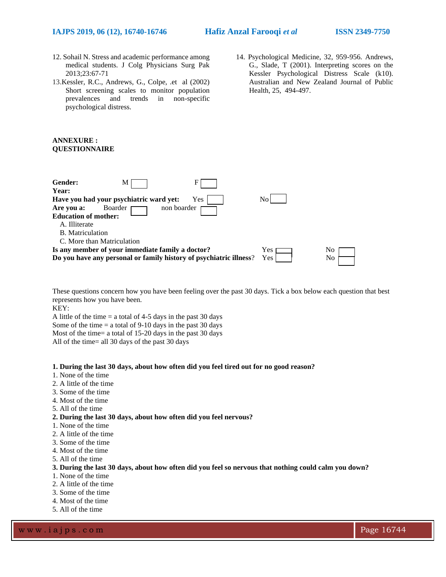- 12. Sohail N. Stress and academic performance among medical students. J Colg Physicians Surg Pak 2013;23:67-71
- 13.Kessler, R.C., Andrews, G., Colpe, .et al (2002) Short screening scales to monitor population prevalences and trends in non-specific psychological distress.
- 14. Psychological Medicine, 32, 959-956. Andrews, G., Slade, T (2001). Interpreting scores on the Kessler Psychological Distress Scale (k10). Australian and New Zealand Journal of Public Health, 25, 494-497.

#### **ANNEXURE : QUESTIONNAIRE**

| Gender:<br>М<br>Year:                                                                                                  |             |          |
|------------------------------------------------------------------------------------------------------------------------|-------------|----------|
| Have you had your psychiatric ward yet:<br>Yes                                                                         | No          |          |
| non boarder<br>Boarder<br>Are you a:<br><b>Education of mother:</b>                                                    |             |          |
| A. Illiterate                                                                                                          |             |          |
| B. Matriculation                                                                                                       |             |          |
| C. More than Matriculation                                                                                             |             |          |
| Is any member of your immediate family a doctor?<br>Do you have any personal or family history of psychiatric illness? | Yes<br>Yes. | No<br>No |

These questions concern how you have been feeling over the past 30 days. Tick a box below each question that best represents how you have been.

KEY:

A little of the time  $=$  a total of 4-5 days in the past 30 days Some of the time  $=$  a total of 9-10 days in the past 30 days Most of the time= a total of 15-20 days in the past 30 days All of the time= all 30 days of the past 30 days

#### **1. During the last 30 days, about how often did you feel tired out for no good reason?**

- 1. None of the time
- 2. A little of the time
- 3. Some of the time
- 4. Most of the time
- 5. All of the time
- **2. During the last 30 days, about how often did you feel nervous?**
- 1. None of the time
- 2. A little of the time
- 3. Some of the time
- 4. Most of the time
- 5. All of the time

#### **3. During the last 30 days, about how often did you feel so nervous that nothing could calm you down?**

- 1. None of the time
- 2. A little of the time
- 3. Some of the time
- 4. Most of the time
- 5. All of the time

w w w .iajps.com **Page 16744**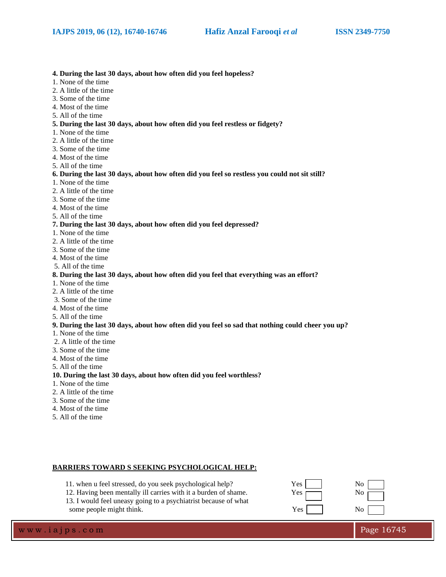#### **4. During the last 30 days, about how often did you feel hopeless?**

- 1. None of the time
- 2. A little of the time
- 3. Some of the time
- 4. Most of the time
- 5. All of the time

# **5. During the last 30 days, about how often did you feel restless or fidgety?**

- 1. None of the time
- 2. A little of the time
- 3. Some of the time
- 4. Most of the time
- 5. All of the time

#### **6. During the last 30 days, about how often did you feel so restless you could not sit still?**

- 1. None of the time
- 2. A little of the time
- 3. Some of the time
- 4. Most of the time
- 5. All of the time

# **7. During the last 30 days, about how often did you feel depressed?**

- 1. None of the time
- 2. A little of the time
- 3. Some of the time
- 4. Most of the time
- 5. All of the time

### **8. During the last 30 days, about how often did you feel that everything was an effort?**

- 1. None of the time
- 2. A little of the time
- 3. Some of the time
- 4. Most of the time
- 5. All of the time

#### **9. During the last 30 days, about how often did you feel so sad that nothing could cheer you up?**

- 1. None of the time
- 2. A little of the time
- 3. Some of the time
- 4. Most of the time
- 5. All of the time

#### **10. During the last 30 days, about how often did you feel worthless?**

- 1. None of the time
- 2. A little of the time
- 3. Some of the time
- 4. Most of the time
- 5. All of the time

# **BARRIERS TOWARD S SEEKING PSYCHOLOGICAL HELP:**

- 11. when u feel stressed, do you seek psychological help? Yes No
- 12. Having been mentally ill carries with it a burden of shame. Yes  $\Box$  No
- 13. I would feel uneasy going to a psychiatrist because of what some people might think. Yes No